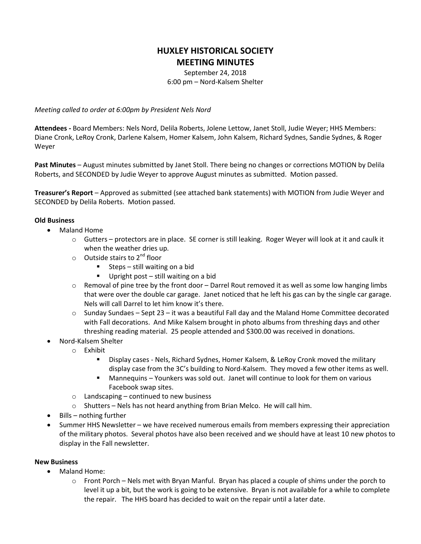## **HUXLEY HISTORICAL SOCIETY MEETING MINUTES**

September 24, 2018 6:00 pm – Nord-Kalsem Shelter

*Meeting called to order at 6:00pm by President Nels Nord*

**Attendees -** Board Members: Nels Nord, Delila Roberts, Jolene Lettow, Janet Stoll, Judie Weyer; HHS Members: Diane Cronk, LeRoy Cronk, Darlene Kalsem, Homer Kalsem, John Kalsem, Richard Sydnes, Sandie Sydnes, & Roger Weyer

**Past Minutes** – August minutes submitted by Janet Stoll. There being no changes or corrections MOTION by Delila Roberts, and SECONDED by Judie Weyer to approve August minutes as submitted. Motion passed.

**Treasurer's Report** – Approved as submitted (see attached bank statements) with MOTION from Judie Weyer and SECONDED by Delila Roberts. Motion passed.

## **Old Business**

- Maland Home
	- o Gutters protectors are in place. SE corner is still leaking. Roger Weyer will look at it and caulk it when the weather dries up.
	- $\circ$  Outside stairs to 2<sup>nd</sup> floor
		- Steps still waiting on a bid
		- Upright post still waiting on a bid
	- $\circ$  Removal of pine tree by the front door Darrel Rout removed it as well as some low hanging limbs that were over the double car garage. Janet noticed that he left his gas can by the single car garage. Nels will call Darrel to let him know it's there.
	- $\circ$  Sunday Sundaes Sept 23 it was a beautiful Fall day and the Maland Home Committee decorated with Fall decorations. And Mike Kalsem brought in photo albums from threshing days and other threshing reading material. 25 people attended and \$300.00 was received in donations.
- Nord-Kalsem Shelter
	- o Exhibit
		- Display cases Nels, Richard Sydnes, Homer Kalsem, & LeRoy Cronk moved the military display case from the 3C's building to Nord-Kalsem. They moved a few other items as well.
		- Mannequins Younkers was sold out. Janet will continue to look for them on various Facebook swap sites.
	- $\circ$  Landscaping continued to new business
	- $\circ$  Shutters Nels has not heard anything from Brian Melco. He will call him.
- Bills nothing further
- Summer HHS Newsletter we have received numerous emails from members expressing their appreciation of the military photos. Several photos have also been received and we should have at least 10 new photos to display in the Fall newsletter.

## **New Business**

- Maland Home:
	- $\circ$  Front Porch Nels met with Bryan Manful. Bryan has placed a couple of shims under the porch to level it up a bit, but the work is going to be extensive. Bryan is not available for a while to complete the repair. The HHS board has decided to wait on the repair until a later date.